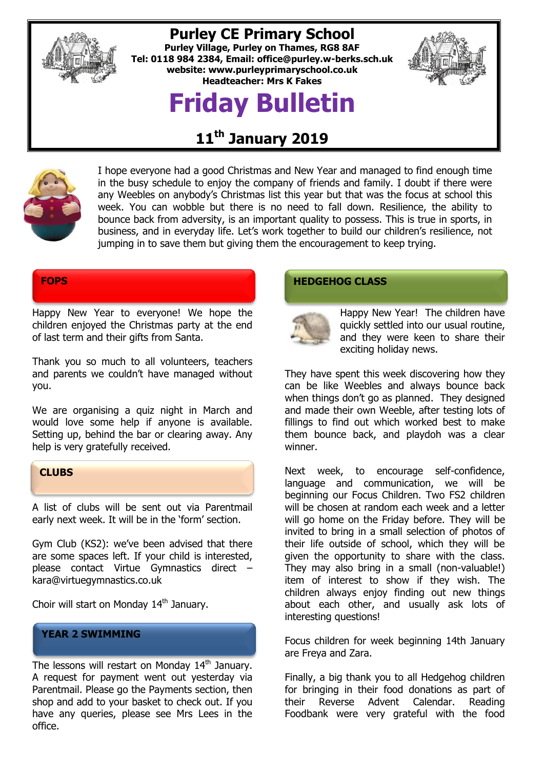

## **Purley CE Primary School**

**Purley Village, Purley on Thames, RG8 8AF Tel: 0118 984 2384, Email: [office@purley.w-berks.sch.uk](mailto:office@purley.w-berks.sch.uk) website: www.purleyprimaryschool.co.uk Headteacher: Mrs K Fakes**

## **Friday Bulletin**



## **11th January 2019**



I hope everyone had a good Christmas and New Year and managed to find enough time in the busy schedule to enjoy the company of friends and family. I doubt if there were any Weebles on anybody's Christmas list this year but that was the focus at school this week. You can wobble but there is no need to fall down. Resilience, the ability to bounce back from adversity, is an important quality to possess. This is true in sports, in business, and in everyday life. Let's work together to build our children's resilience, not jumping in to save them but giving them the encouragement to keep trying.

Happy New Year to everyone! We hope the children enjoyed the Christmas party at the end of last term and their gifts from Santa.

Thank you so much to all volunteers, teachers and parents we couldn't have managed without you.

We are organising a quiz night in March and would love some help if anyone is available. Setting up, behind the bar or clearing away. Any help is very gratefully received.



A list of clubs will be sent out via Parentmail early next week. It will be in the 'form' section.

Gym Club (KS2): we've been advised that there are some spaces left. If your child is interested, please contact Virtue Gymnastics direct – kara@virtuegymnastics.co.uk

Choir will start on Monday 14<sup>th</sup> January.

#### **YEAR 2 SWIMMING**

The lessons will restart on Monday 14<sup>th</sup> January. A request for payment went out yesterday via Parentmail. Please go the Payments section, then shop and add to your basket to check out. If you have any queries, please see Mrs Lees in the office.

### **FOPS HEDGEHOG CLASS**



Happy New Year! The children have quickly settled into our usual routine, and they were keen to share their exciting holiday news.

They have spent this week discovering how they can be like Weebles and always bounce back when things don't go as planned. They designed and made their own Weeble, after testing lots of fillings to find out which worked best to make them bounce back, and playdoh was a clear winner.

Next week, to encourage self-confidence, language and communication, we will be beginning our Focus Children. Two FS2 children will be chosen at random each week and a letter will go home on the Friday before. They will be invited to bring in a small selection of photos of their life outside of school, which they will be given the opportunity to share with the class. They may also bring in a small (non-valuable!) item of interest to show if they wish. The children always enjoy finding out new things about each other, and usually ask lots of interesting questions!

Focus children for week beginning 14th January are Freya and Zara.

Finally, a big thank you to all Hedgehog children for bringing in their food donations as part of their Reverse Advent Calendar. Reading Foodbank were very grateful with the food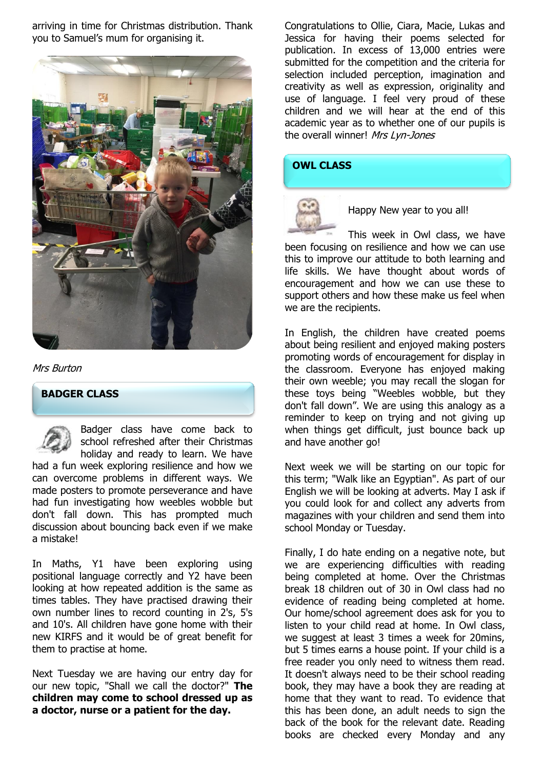arriving in time for Christmas distribution. Thank you to Samuel's mum for organising it.



#### Mrs Burton

#### **BADGER CLASS**

Badger class have come back to school refreshed after their Christmas holiday and ready to learn. We have had a fun week exploring resilience and how we can overcome problems in different ways. We made posters to promote perseverance and have had fun investigating how weebles wobble but don't fall down. This has prompted much

discussion about bouncing back even if we make a mistake!

In Maths, Y1 have been exploring using positional language correctly and Y2 have been looking at how repeated addition is the same as times tables. They have practised drawing their own number lines to record counting in 2's, 5's and 10's. All children have gone home with their new KIRFS and it would be of great benefit for them to practise at home.

Next Tuesday we are having our entry day for our new topic, "Shall we call the doctor?" **The children may come to school dressed up as a doctor, nurse or a patient for the day.** 

Congratulations to Ollie, Ciara, Macie, Lukas and Jessica for having their poems selected for publication. In excess of 13,000 entries were submitted for the competition and the criteria for selection included perception, imagination and creativity as well as expression, originality and use of language. I feel very proud of these children and we will hear at the end of this academic year as to whether one of our pupils is the overall winner! Mrs Lyn-Jones

#### **OWL CLASS**



Happy New year to you all!

This week in Owl class, we have been focusing on resilience and how we can use this to improve our attitude to both learning and life skills. We have thought about words of encouragement and how we can use these to support others and how these make us feel when we are the recipients.

In English, the children have created poems about being resilient and enjoyed making posters promoting words of encouragement for display in the classroom. Everyone has enjoyed making their own weeble; you may recall the slogan for these toys being "Weebles wobble, but they don't fall down". We are using this analogy as a reminder to keep on trying and not giving up when things get difficult, just bounce back up and have another go!

Next week we will be starting on our topic for this term; "Walk like an Egyptian". As part of our English we will be looking at adverts. May I ask if you could look for and collect any adverts from magazines with your children and send them into school Monday or Tuesday.

Finally, I do hate ending on a negative note, but we are experiencing difficulties with reading being completed at home. Over the Christmas break 18 children out of 30 in Owl class had no evidence of reading being completed at home. Our home/school agreement does ask for you to listen to your child read at home. In Owl class, we suggest at least 3 times a week for 20mins, but 5 times earns a house point. If your child is a free reader you only need to witness them read. It doesn't always need to be their school reading book, they may have a book they are reading at home that they want to read. To evidence that this has been done, an adult needs to sign the back of the book for the relevant date. Reading books are checked every Monday and any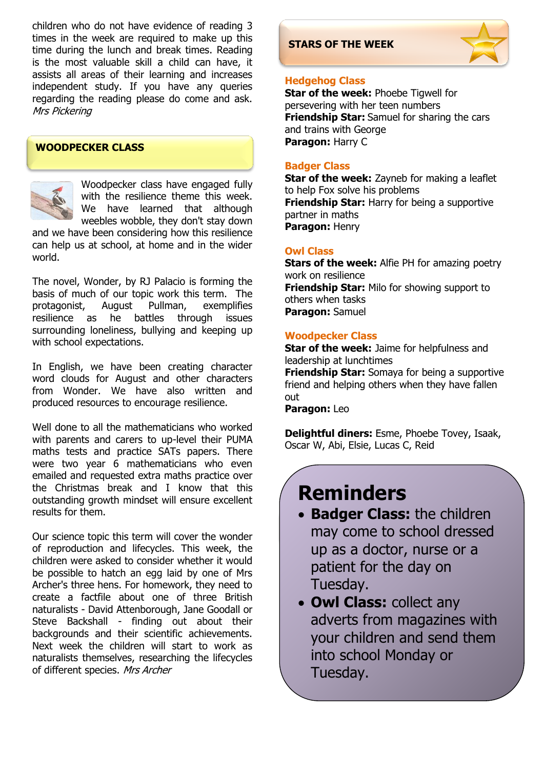children who do not have evidence of reading 3 times in the week are required to make up this time during the lunch and break times. Reading is the most valuable skill a child can have, it assists all areas of their learning and increases independent study. If you have any queries regarding the reading please do come and ask. Mrs Pickering

#### **WOODPECKER CLASS**



Woodpecker class have engaged fully with the resilience theme this week. We have learned that although weebles wobble, they don't stay down

and we have been considering how this resilience can help us at school, at home and in the wider world.

The novel, Wonder, by RJ Palacio is forming the basis of much of our topic work this term. The protagonist, August Pullman, exemplifies resilience as he battles through issues surrounding loneliness, bullying and keeping up with school expectations.

In English, we have been creating character word clouds for August and other characters from Wonder. We have also written and produced resources to encourage resilience.

Well done to all the mathematicians who worked with parents and carers to up-level their PUMA maths tests and practice SATs papers. There were two year 6 mathematicians who even emailed and requested extra maths practice over the Christmas break and I know that this outstanding growth mindset will ensure excellent results for them.

Our science topic this term will cover the wonder of reproduction and lifecycles. This week, the children were asked to consider whether it would be possible to hatch an egg laid by one of Mrs Archer's three hens. For homework, they need to create a factfile about one of three British naturalists - David Attenborough, Jane Goodall or Steve Backshall - finding out about their backgrounds and their scientific achievements. Next week the children will start to work as naturalists themselves, researching the lifecycles of different species. Mrs Archer

### **STARS OF THE WEEK**



#### **Hedgehog Class**

**Star of the week:** Phoebe Tigwell for persevering with her teen numbers **Friendship Star:** Samuel for sharing the cars and trains with George **Paragon:** Harry C

#### **Badger Class**

**Star of the week:** Zayneb for making a leaflet to help Fox solve his problems **Friendship Star:** Harry for being a supportive partner in maths **Paragon:** Henry

#### **Owl Class**

**Stars of the week:** Alfie PH for amazing poetry work on resilience **Friendship Star:** Milo for showing support to others when tasks **Paragon:** Samuel

#### **Woodpecker Class**

**Star of the week:** Jaime for helpfulness and leadership at lunchtimes **Friendship Star:** Somaya for being a supportive friend and helping others when they have fallen out

#### **Paragon:** Leo

**Delightful diners:** Esme, Phoebe Tovey, Isaak, Oscar W, Abi, Elsie, Lucas C, Reid

## **Reminders**

- **Badger Class:** the children may come to school dressed up as a doctor, nurse or a patient for the day on Tuesday.
	- **Owl Class:** collect any adverts from magazines with your children and send them into school Monday or Tuesday.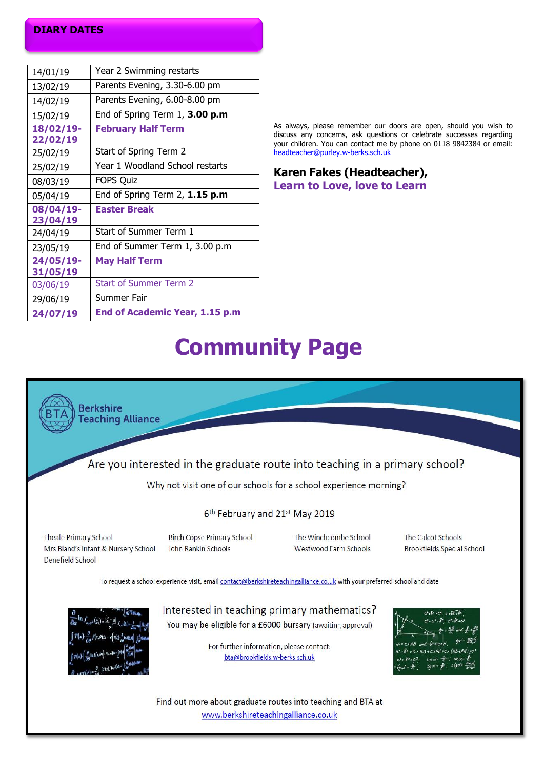#### **DIARY DATES**

| 14/01/19              | Year 2 Swimming restarts            |
|-----------------------|-------------------------------------|
| 13/02/19              | Parents Evening, 3.30-6.00 pm       |
| 14/02/19              | Parents Evening, 6.00-8.00 pm       |
| 15/02/19              | End of Spring Term $1, 3.00$ p.m    |
| 18/02/19-<br>22/02/19 | <b>February Half Term</b>           |
| 25/02/19              | Start of Spring Term 2              |
| 25/02/19              | Year 1 Woodland School restarts     |
| 08/03/19              | <b>FOPS Quiz</b>                    |
| 05/04/19              | End of Spring Term $2$ , $1.15$ p.m |
| 08/04/19-<br>23/04/19 | <b>Easter Break</b>                 |
| 24/04/19              | Start of Summer Term 1              |
| 23/05/19              | End of Summer Term 1, 3.00 p.m      |
| 24/05/19-             | <b>May Half Term</b>                |
| 31/05/19              |                                     |
| 03/06/19              | <b>Start of Summer Term 2</b>       |
| 29/06/19              | Summer Fair                         |
| 24/07/19              | End of Academic Year, 1.15 p.m      |

As always, please remember our doors are open, should you wish to discuss any concerns, ask questions or celebrate successes regarding your children. You can contact me by phone on 0118 9842384 or email: [headteacher@purley.w-berks.sch.uk](mailto:headteacher@purley.w-berks.sch.uk)

#### **Karen Fakes (Headteacher), Learn to Love, love to Learn**

## **Community Page**



www.berkshireteachingalliance.co.uk